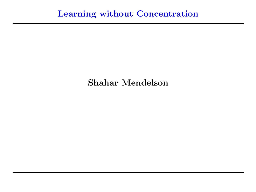## Shahar Mendelson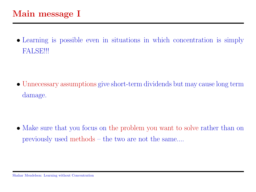• Learning is possible even in situations in which concentration is simply FALSE!!!

• Unnecessary assumptions give short-term dividends but may cause long term damage.

• Make sure that you focus on the problem you want to solve rather than on previously used methods – the two are not the same....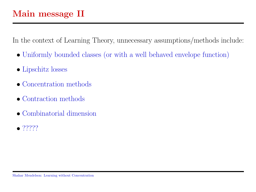In the context of Learning Theory, unnecessary assumptions/methods include:

- Uniformly bounded classes (or with a well behaved envelope function)
- Lipschitz losses
- Concentration methods
- Contraction methods
- Combinatorial dimension
- $77777$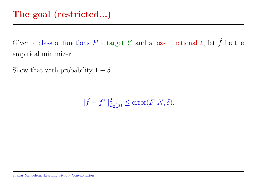Given a class of functions F a target Y and a loss functional  $\ell$ , let  $\hat{f}$  be the empirical minimizer.

Show that with probability  $1 - \delta$ 

 $\|\hat{f} - f^*\|_{L_2(\mu)}^2 \le \text{error}(F, N, \delta).$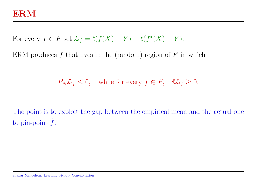For every  $f \in F$  set  $\mathcal{L}_f = \ell(f(X) - Y) - \ell(f^*(X) - Y)$ .

ERM produces  $\hat{f}$  that lives in the (random) region of F in which

 $P_N\mathcal{L}_f \leq 0$ , while for every  $f \in F$ ,  $\mathbb{E}\mathcal{L}_f \geq 0$ .

The point is to exploit the gap between the empirical mean and the actual one to pin-point  $\hat{f}$ .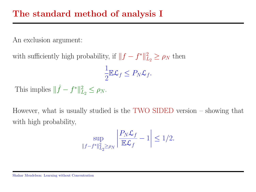An exclusion argument:

with sufficiently high probability, if  $||f - f^*||_I^2$  $L_2 \geq \rho_N$  then

$$
\frac{1}{2}\mathbb{E}\mathcal{L}_f \leq P_N \mathcal{L}_f.
$$

This implies  $\|\hat{f} - f^*\|_I^2$  $L_2^2 \leq \rho_N$ .

However, what is usually studied is the TWO SIDED version – showing that with high probability,

$$
\sup_{\|f-f^*\|_{L_2}^2 \ge \rho_N} \left| \frac{P_N \mathcal{L}_f}{\mathbb{E}\mathcal{L}_f} - 1 \right| \le 1/2.
$$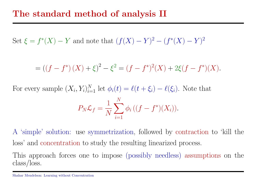Set  $\xi = f^*(X) - Y$  and note that  $(f(X) - Y)^2 - (f^*(X) - Y)^2$ 

$$
= ((f - f^{*})(X) + \xi)^{2} - \xi^{2} = (f - f^{*})^{2}(X) + 2\xi(f - f^{*})(X).
$$

For every sample  $(X_i, Y_i)_{i=1}^N$  let  $\phi_i(t) = \ell(t + \xi_i) - \ell(\xi_i)$ . Note that

$$
P_N \mathcal{L}_f = \frac{1}{N} \sum_{i=1}^{N} \phi_i \left( (f - f^*)(X_i) \right).
$$

A 'simple' solution: use symmetrization, followed by contraction to 'kill the loss' and concentration to study the resulting linearized process.

This approach forces one to impose (possibly needless) assumptions on the class/loss.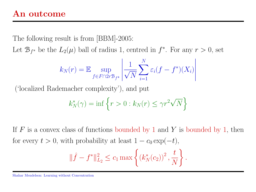## An outcome

The following result is from [BBM]-2005:

Let  $\mathcal{B}_{f^*}$  be the  $L_2(\mu)$  ball of radius 1, centred in  $f^*$ . For any  $r > 0$ , set

$$
k_N(r) = \mathbb{E} \sup_{f \in F \cap 2r \mathcal{B}_{f^*}} \left| \frac{1}{\sqrt{N}} \sum_{i=1}^N \varepsilon_i (f - f^*)(X_i) \right|
$$

('localized Rademacher complexity'), and put

$$
k_N^*(\gamma) = \inf \left\{ r > 0 : k_N(r) \le \gamma r^2 \sqrt{N} \right\}
$$

If F is a convex class of functions bounded by 1 and Y is bounded by 1, then for every  $t > 0$ , with probability at least  $1 - c_0 \exp(-t)$ ,

$$
\|\hat{f} - f^*\|_{L_2}^2 \le c_1 \max\left\{ (k_N^*(c_2))^2, \frac{t}{N} \right\}.
$$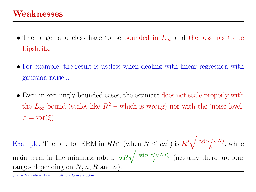- The target and class have to be bounded in  $L_{\infty}$  and the loss has to be Lipshcitz.
- For example, the result is useless when dealing with linear regression with gaussian noise...
- Even in seemingly bounded cases, the estimate does not scale properly with the  $L_{\infty}$  bound (scales like  $R^2$  – which is wrong) nor with the 'noise level'  $\sigma = \text{var}(\xi)$ .

Example: The rate for ERM in  $RB_1^n$  (when  $N \leq cn^2$ ) is  $R^2$  $\sqrt{\log (cn/\sqrt{N})}$  $\frac{n/\sqrt{N}}{N}$ , while main term in the minimax rate is  $\sigma R \sqrt{\frac{\log(en\sigma/\sqrt{N}R)}{N}}$  $\frac{\sigma/\sqrt{N}R}{N}$  (actually there are four ranges depending on  $N, n, R$  and  $\sigma$ ).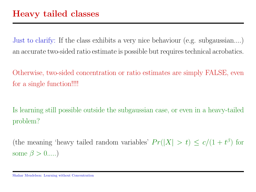Just to clarify: If the class exhibits a very nice behaviour (e.g. subgaussian....) an accurate two-sided ratio estimate is possible but requires technical acrobatics.

Otherwise, two-sided concentration or ratio estimates are simply FALSE, even for a single function!!!!

Is learning still possible outside the subgaussian case, or even in a heavy-tailed problem?

(the meaning 'heavy tailed random variables'  $Pr(|X| > t) \le c/(1 + t^{\beta})$  for some  $\beta > 0$ .....)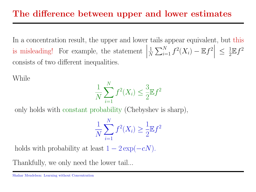In a concentration result, the upper and lower tails appear equivalent, but this is misleading! For example, the statement  $\Big\}$  $\Big\}$  $\overline{\phantom{a}}$ 1  $\frac{1}{N}\sum_{i=1}^N f^2(X_i) - \mathbb{E} f^2$  $\Big| \leq \frac{1}{2}$  $\frac{1}{2} \mathbb{E} f^2$ consists of two different inequalities.

While

$$
\frac{1}{N} \sum_{i=1}^{N} f^2(X_i) \le \frac{3}{2} \mathbb{E} f^2
$$

only holds with constant probability (Chebyshev is sharp),

$$
\frac{1}{N} \sum_{i=1}^{N} f^{2}(X_{i}) \ge \frac{1}{2} \mathbb{E} f^{2}
$$

holds with probability at least  $1 - 2 \exp(-cN)$ .

Thankfully, we only need the lower tail...

Shahar Mendelson: Learning without Concentration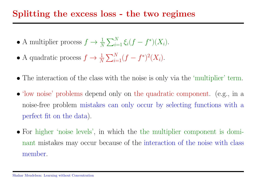## Splitting the excess loss - the two regimes

- A multiplier process  $f \to \frac{1}{N} \sum_{i=1}^{N} \xi_i (f f^*)(X_i)$ .
- A quadratic process  $f \to \frac{1}{N} \sum_{i=1}^{N} (f f^*)^2(X_i)$ .
- The interaction of the class with the noise is only via the 'multiplier' term.
- 'low noise' problems depend only on the quadratic component. (e.g., in a noise-free problem mistakes can only occur by selecting functions with a perfect fit on the data).
- For higher 'noise levels', in which the the multiplier component is dominant mistakes may occur because of the interaction of the noise with class member.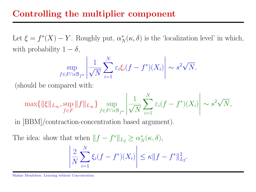Let  $\xi = f^*(X) - Y$ . Roughly put,  $\alpha_N^*(\kappa, \delta)$  is the 'localization level' in which, with probability  $1 - \delta$ ,

$$
\sup_{f \in F \cap s\mathcal{B}_{f^*}} \left| \frac{1}{\sqrt{N}} \sum_{i=1}^N \varepsilon_i \xi_i (f - f^*)(X_i) \right| \sim s^2 \sqrt{N}.
$$

(should be compared with:

$$
\max\{ \|\xi\|_{L_{\infty}}, \sup_{f \in F} \|f\|_{L_{\infty}} \} \sup_{f \in F \cap s\mathcal{B}_{f^*}} \left| \frac{1}{\sqrt{N}} \sum_{i=1}^N \varepsilon_i (f - f^*)(X_i) \right| \sim s^2 \sqrt{N},
$$

in [BBM]/contraction-concentration based argument).

The idea: show that when  $|| f - f^* ||_{L_2} \ge \alpha_N^*(\kappa, \delta),$ 

$$
\left| \frac{2}{N} \sum_{i=1}^{N} \xi_i (f - f^*)(X_i) \right| \leq \kappa \| f - f^* \|_{L_2}^2.
$$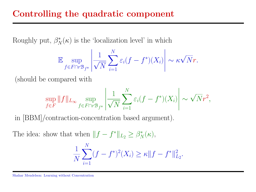Roughly put,  $\beta_N^*(\kappa)$  is the 'localization level' in which

$$
\mathbb{E} \sup_{f \in F \cap r\mathcal{B}_{f^*}} \left| \frac{1}{\sqrt{N}} \sum_{i=1}^N \varepsilon_i (f - f^*)(X_i) \right| \sim \kappa \sqrt{N} r.
$$

(should be compared with

$$
\sup_{f \in F} ||f||_{L_{\infty}} \sup_{f \in F \cap r\mathcal{B}_{f^*}} \left| \frac{1}{\sqrt{N}} \sum_{i=1}^N \varepsilon_i (f - f^*)(X_i) \right| \sim \sqrt{N} r^2,
$$

in [BBM]/contraction-concentration based argument).

The idea: show that when  $|| f - f^* ||_{L_2} \geq \beta_N^*(\kappa),$ 

$$
\frac{1}{N} \sum_{i=1}^{N} (f - f^*)^2(X_i) \ge \kappa \|f - f^*\|_{L_2}^2.
$$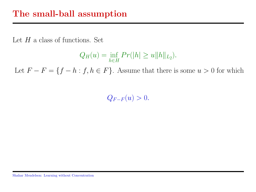Let  $H$  a class of functions. Set

$$
Q_H(u) = \inf_{h \in H} Pr(|h| \ge u ||h||_{L_2}).
$$

Let  $F - F = \{f - h : f, h \in F\}$ . Assume that there is some  $u > 0$  for which

 $Q_{F-F}(u) > 0.$